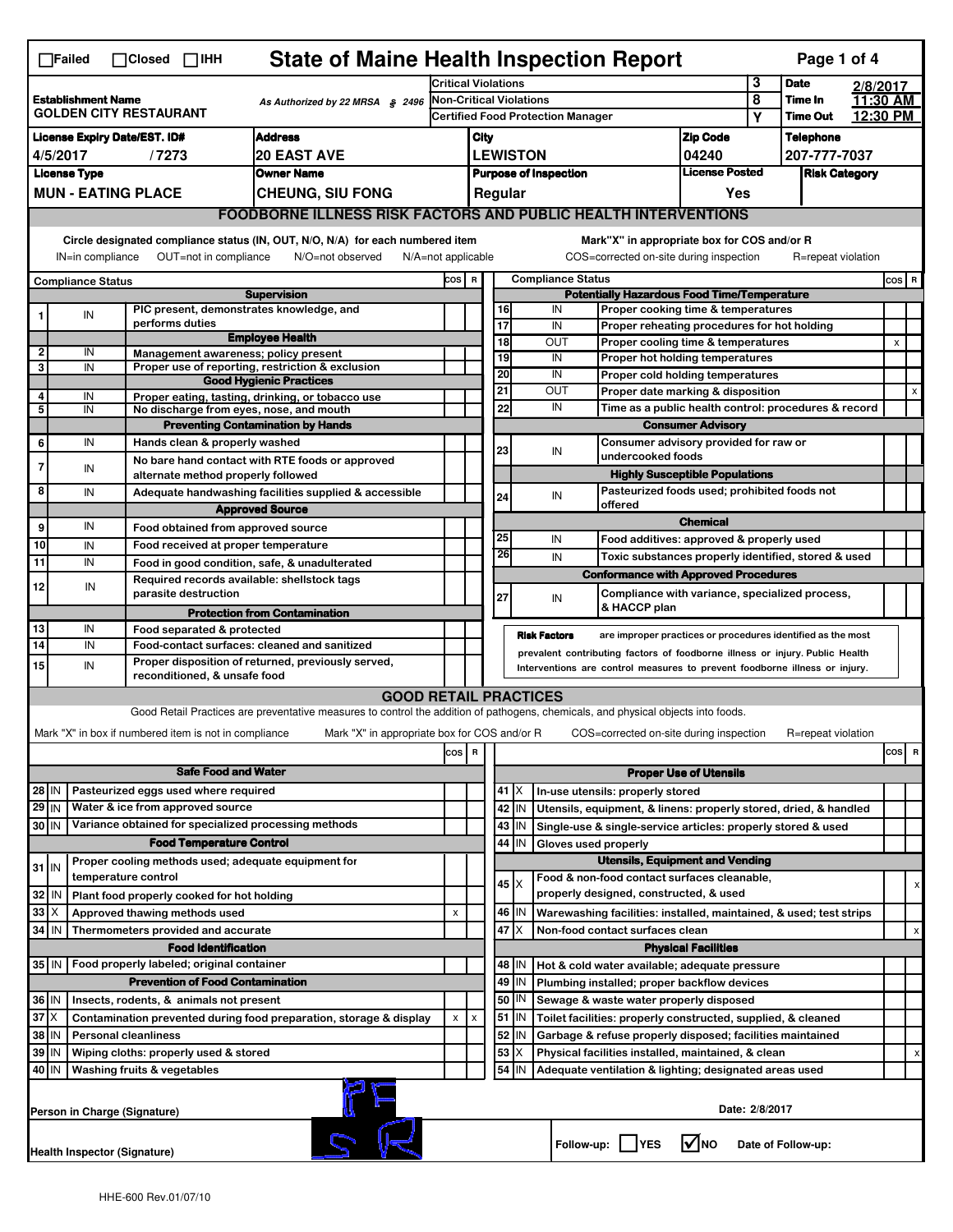| <b>State of Maine Health Inspection Report</b><br>Page 1 of 4<br>$\Box$ Failed<br>$\Box$ Closed $\Box$ IHH |                                                                                                                                                                                                                                                                                           |                     |                                                       |                                                                                                                                   |     |                                          |                                                    |                       |                                                           |                                                                   |                                                                                                                                  |                      |                |                    |  |         |
|------------------------------------------------------------------------------------------------------------|-------------------------------------------------------------------------------------------------------------------------------------------------------------------------------------------------------------------------------------------------------------------------------------------|---------------------|-------------------------------------------------------|-----------------------------------------------------------------------------------------------------------------------------------|-----|------------------------------------------|----------------------------------------------------|-----------------------|-----------------------------------------------------------|-------------------------------------------------------------------|----------------------------------------------------------------------------------------------------------------------------------|----------------------|----------------|--------------------|--|---------|
|                                                                                                            |                                                                                                                                                                                                                                                                                           |                     | <b>Critical Violations</b>                            |                                                                                                                                   |     |                                          |                                                    | 3                     | <b>Date</b>                                               |                                                                   | 2/8/2017                                                                                                                         |                      |                |                    |  |         |
| <b>Establishment Name</b><br>As Authorized by 22 MRSA § 2496<br><b>GOLDEN CITY RESTAURANT</b>              |                                                                                                                                                                                                                                                                                           |                     | <b>Non-Critical Violations</b>                        |                                                                                                                                   |     |                                          |                                                    |                       | 8                                                         | Time In<br><b>Time Out</b>                                        |                                                                                                                                  | 11:30 AM<br>12:30 PM |                |                    |  |         |
| <b>Address</b>                                                                                             |                                                                                                                                                                                                                                                                                           |                     |                                                       |                                                                                                                                   |     | <b>Certified Food Protection Manager</b> |                                                    |                       |                                                           |                                                                   |                                                                                                                                  | <b>Zip Code</b>      | Υ              | <b>Telephone</b>   |  |         |
| <b>License Expiry Date/EST. ID#</b><br><b>20 EAST AVE</b><br>4/5/2017<br>/7273                             |                                                                                                                                                                                                                                                                                           |                     |                                                       |                                                                                                                                   |     | City<br><b>LEWISTON</b>                  |                                                    |                       |                                                           |                                                                   |                                                                                                                                  | 04240                |                | 207-777-7037       |  |         |
| <b>License Type</b><br><b>Owner Name</b>                                                                   |                                                                                                                                                                                                                                                                                           |                     |                                                       |                                                                                                                                   |     | <b>Purpose of Inspection</b>             |                                                    |                       |                                                           | <b>License Posted</b>                                             |                                                                                                                                  | <b>Risk Category</b> |                |                    |  |         |
| <b>MUN - EATING PLACE</b><br><b>CHEUNG, SIU FONG</b>                                                       |                                                                                                                                                                                                                                                                                           |                     |                                                       |                                                                                                                                   |     | Regular<br>Yes                           |                                                    |                       |                                                           |                                                                   |                                                                                                                                  |                      |                |                    |  |         |
| <b>FOODBORNE ILLNESS RISK FACTORS AND PUBLIC HEALTH INTERVENTIONS</b>                                      |                                                                                                                                                                                                                                                                                           |                     |                                                       |                                                                                                                                   |     |                                          |                                                    |                       |                                                           |                                                                   |                                                                                                                                  |                      |                |                    |  |         |
|                                                                                                            | Circle designated compliance status (IN, OUT, N/O, N/A) for each numbered item<br>Mark"X" in appropriate box for COS and/or R<br>OUT=not in compliance<br>COS=corrected on-site during inspection<br>IN=in compliance<br>N/O=not observed<br>$N/A = not$ applicable<br>R=repeat violation |                     |                                                       |                                                                                                                                   |     |                                          |                                                    |                       |                                                           |                                                                   |                                                                                                                                  |                      |                |                    |  |         |
|                                                                                                            |                                                                                                                                                                                                                                                                                           |                     |                                                       |                                                                                                                                   |     |                                          | <b>Compliance Status</b><br>COS R                  |                       |                                                           |                                                                   |                                                                                                                                  |                      |                |                    |  | cos   R |
|                                                                                                            | <b>Compliance Status</b>                                                                                                                                                                                                                                                                  |                     |                                                       | <b>Supervision</b>                                                                                                                |     |                                          | <b>Potentially Hazardous Food Time/Temperature</b> |                       |                                                           |                                                                   |                                                                                                                                  |                      |                |                    |  |         |
|                                                                                                            | IN                                                                                                                                                                                                                                                                                        |                     |                                                       | PIC present, demonstrates knowledge, and                                                                                          |     |                                          |                                                    | 16                    |                                                           | IN                                                                | Proper cooking time & temperatures                                                                                               |                      |                |                    |  |         |
|                                                                                                            |                                                                                                                                                                                                                                                                                           |                     | performs duties                                       | <b>Employee Health</b>                                                                                                            |     |                                          |                                                    | $\overline{17}$<br>18 |                                                           | IN<br>OUT                                                         | Proper reheating procedures for hot holding<br>Proper cooling time & temperatures                                                |                      |                |                    |  | X       |
| 2                                                                                                          | IN                                                                                                                                                                                                                                                                                        |                     |                                                       | Management awareness; policy present                                                                                              |     |                                          |                                                    | 19                    |                                                           | IN                                                                | Proper hot holding temperatures                                                                                                  |                      |                |                    |  |         |
| 3                                                                                                          | IN                                                                                                                                                                                                                                                                                        |                     |                                                       | Proper use of reporting, restriction & exclusion<br><b>Good Hygienic Practices</b>                                                |     |                                          |                                                    | 20                    |                                                           | IN                                                                | Proper cold holding temperatures                                                                                                 |                      |                |                    |  |         |
| 4                                                                                                          | IN                                                                                                                                                                                                                                                                                        |                     |                                                       | Proper eating, tasting, drinking, or tobacco use                                                                                  |     |                                          |                                                    | 21                    |                                                           | OUT                                                               | Proper date marking & disposition                                                                                                |                      |                |                    |  | X       |
| 5                                                                                                          | IN                                                                                                                                                                                                                                                                                        |                     |                                                       | No discharge from eyes, nose, and mouth                                                                                           |     |                                          |                                                    | 22                    |                                                           | IN<br>Time as a public health control: procedures & record        |                                                                                                                                  |                      |                |                    |  |         |
| 6                                                                                                          | IN                                                                                                                                                                                                                                                                                        |                     | Hands clean & properly washed                         | <b>Preventing Contamination by Hands</b>                                                                                          |     |                                          |                                                    |                       |                                                           | <b>Consumer Advisory</b><br>Consumer advisory provided for raw or |                                                                                                                                  |                      |                |                    |  |         |
|                                                                                                            |                                                                                                                                                                                                                                                                                           |                     |                                                       | No bare hand contact with RTE foods or approved                                                                                   |     |                                          |                                                    | 23                    |                                                           | IN                                                                | undercooked foods                                                                                                                |                      |                |                    |  |         |
| 7                                                                                                          | IN                                                                                                                                                                                                                                                                                        |                     | alternate method properly followed                    |                                                                                                                                   |     |                                          |                                                    |                       |                                                           |                                                                   | <b>Highly Susceptible Populations</b>                                                                                            |                      |                |                    |  |         |
| 8                                                                                                          | IN                                                                                                                                                                                                                                                                                        |                     |                                                       | Adequate handwashing facilities supplied & accessible                                                                             |     |                                          |                                                    | 24                    |                                                           | IN                                                                | Pasteurized foods used; prohibited foods not                                                                                     |                      |                |                    |  |         |
|                                                                                                            |                                                                                                                                                                                                                                                                                           |                     |                                                       | <b>Approved Source</b>                                                                                                            |     |                                          |                                                    |                       |                                                           |                                                                   | offered                                                                                                                          | <b>Chemical</b>      |                |                    |  |         |
| 9                                                                                                          | IN                                                                                                                                                                                                                                                                                        |                     |                                                       | Food obtained from approved source                                                                                                |     |                                          |                                                    | 25                    |                                                           | IN                                                                | Food additives: approved & properly used                                                                                         |                      |                |                    |  |         |
| 10<br>11                                                                                                   | IN<br>IN                                                                                                                                                                                                                                                                                  |                     |                                                       | Food received at proper temperature                                                                                               |     |                                          |                                                    | 26                    |                                                           | IN                                                                | Toxic substances properly identified, stored & used                                                                              |                      |                |                    |  |         |
|                                                                                                            |                                                                                                                                                                                                                                                                                           |                     |                                                       | Food in good condition, safe, & unadulterated<br>Required records available: shellstock tags                                      |     |                                          |                                                    |                       |                                                           |                                                                   | <b>Conformance with Approved Procedures</b>                                                                                      |                      |                |                    |  |         |
| 12                                                                                                         | IN                                                                                                                                                                                                                                                                                        |                     | parasite destruction                                  |                                                                                                                                   |     |                                          |                                                    | 27                    |                                                           | IN                                                                | Compliance with variance, specialized process,                                                                                   |                      |                |                    |  |         |
|                                                                                                            |                                                                                                                                                                                                                                                                                           |                     |                                                       | <b>Protection from Contamination</b>                                                                                              |     |                                          |                                                    |                       |                                                           |                                                                   | & HACCP plan                                                                                                                     |                      |                |                    |  |         |
| 13                                                                                                         | IN                                                                                                                                                                                                                                                                                        |                     | Food separated & protected                            |                                                                                                                                   |     |                                          |                                                    |                       |                                                           | <b>Risk Factors</b>                                               | are improper practices or procedures identified as the most                                                                      |                      |                |                    |  |         |
| $\overline{14}$                                                                                            | IN                                                                                                                                                                                                                                                                                        |                     |                                                       | Food-contact surfaces: cleaned and sanitized<br>Proper disposition of returned, previously served,                                |     |                                          |                                                    |                       |                                                           |                                                                   | prevalent contributing factors of foodborne illness or injury. Public Health                                                     |                      |                |                    |  |         |
| 15                                                                                                         | IN                                                                                                                                                                                                                                                                                        |                     | reconditioned, & unsafe food                          |                                                                                                                                   |     |                                          |                                                    |                       |                                                           |                                                                   | Interventions are control measures to prevent foodborne illness or injury.                                                       |                      |                |                    |  |         |
|                                                                                                            |                                                                                                                                                                                                                                                                                           |                     |                                                       | <b>GOOD RETAIL PRACTICES</b>                                                                                                      |     |                                          |                                                    |                       |                                                           |                                                                   |                                                                                                                                  |                      |                |                    |  |         |
|                                                                                                            |                                                                                                                                                                                                                                                                                           |                     |                                                       | Good Retail Practices are preventative measures to control the addition of pathogens, chemicals, and physical objects into foods. |     |                                          |                                                    |                       |                                                           |                                                                   |                                                                                                                                  |                      |                |                    |  |         |
|                                                                                                            |                                                                                                                                                                                                                                                                                           |                     | Mark "X" in box if numbered item is not in compliance | Mark "X" in appropriate box for COS and/or R                                                                                      |     |                                          |                                                    |                       |                                                           |                                                                   | COS=corrected on-site during inspection                                                                                          |                      |                | R=repeat violation |  |         |
|                                                                                                            |                                                                                                                                                                                                                                                                                           |                     |                                                       |                                                                                                                                   | cos | R                                        |                                                    |                       |                                                           |                                                                   |                                                                                                                                  |                      |                |                    |  | cos R   |
|                                                                                                            | <b>Safe Food and Water</b>                                                                                                                                                                                                                                                                |                     |                                                       |                                                                                                                                   |     |                                          | <b>Proper Use of Utensils</b>                      |                       |                                                           |                                                                   |                                                                                                                                  |                      |                |                    |  |         |
| Pasteurized eggs used where required<br>28 IN                                                              |                                                                                                                                                                                                                                                                                           |                     |                                                       |                                                                                                                                   |     | 41   X                                   |                                                    |                       | In-use utensils: properly stored                          |                                                                   |                                                                                                                                  |                      |                |                    |  |         |
| 29 IN                                                                                                      |                                                                                                                                                                                                                                                                                           |                     | Water & ice from approved source                      |                                                                                                                                   |     |                                          |                                                    | 42 IN<br>43           | IN                                                        |                                                                   | Utensils, equipment, & linens: properly stored, dried, & handled<br>Single-use & single-service articles: properly stored & used |                      |                |                    |  |         |
| Variance obtained for specialized processing methods<br>30 IN<br><b>Food Temperature Control</b>           |                                                                                                                                                                                                                                                                                           |                     |                                                       |                                                                                                                                   |     | 44                                       | IN                                                 |                       | Gloves used properly                                      |                                                                   |                                                                                                                                  |                      |                |                    |  |         |
|                                                                                                            |                                                                                                                                                                                                                                                                                           |                     |                                                       | Proper cooling methods used; adequate equipment for                                                                               |     |                                          | <b>Utensils, Equipment and Vending</b>             |                       |                                                           |                                                                   |                                                                                                                                  |                      |                |                    |  |         |
| $31$ IN                                                                                                    |                                                                                                                                                                                                                                                                                           | temperature control |                                                       |                                                                                                                                   |     |                                          |                                                    | $45 \times$           |                                                           |                                                                   | Food & non-food contact surfaces cleanable,                                                                                      |                      |                |                    |  | X       |
| 32                                                                                                         | IN                                                                                                                                                                                                                                                                                        |                     | Plant food properly cooked for hot holding            |                                                                                                                                   |     |                                          |                                                    |                       |                                                           |                                                                   | properly designed, constructed, & used                                                                                           |                      |                |                    |  |         |
| $33 \times$                                                                                                |                                                                                                                                                                                                                                                                                           |                     | Approved thawing methods used                         |                                                                                                                                   | X   |                                          |                                                    | 46   IN               |                                                           |                                                                   | Warewashing facilities: installed, maintained, & used; test strips                                                               |                      |                |                    |  |         |
| 34<br>l IN<br>Thermometers provided and accurate                                                           |                                                                                                                                                                                                                                                                                           |                     |                                                       |                                                                                                                                   |     |                                          |                                                    | 47 X                  |                                                           |                                                                   | Non-food contact surfaces clean                                                                                                  |                      |                |                    |  | x       |
|                                                                                                            | <b>Food Identification</b><br><b>Physical Facilities</b><br>35   IN<br>48   IN<br>Hot & cold water available; adequate pressure                                                                                                                                                           |                     |                                                       |                                                                                                                                   |     |                                          |                                                    |                       |                                                           |                                                                   |                                                                                                                                  |                      |                |                    |  |         |
| Food properly labeled; original container<br><b>Prevention of Food Contamination</b>                       |                                                                                                                                                                                                                                                                                           |                     |                                                       |                                                                                                                                   |     | 49                                       | IN                                                 |                       | Plumbing installed; proper backflow devices               |                                                                   |                                                                                                                                  |                      |                |                    |  |         |
| 36 IN<br>Insects, rodents, & animals not present                                                           |                                                                                                                                                                                                                                                                                           |                     |                                                       |                                                                                                                                   |     | 50   IN                                  |                                                    |                       | Sewage & waste water properly disposed                    |                                                                   |                                                                                                                                  |                      |                |                    |  |         |
| $37$ $\times$                                                                                              |                                                                                                                                                                                                                                                                                           |                     |                                                       | Contamination prevented during food preparation, storage & display                                                                | X   | $\pmb{\times}$                           |                                                    | 51 IN                 |                                                           |                                                                   | Toilet facilities: properly constructed, supplied, & cleaned                                                                     |                      |                |                    |  |         |
| 38 IN<br><b>Personal cleanliness</b>                                                                       |                                                                                                                                                                                                                                                                                           |                     |                                                       |                                                                                                                                   |     |                                          | 52                                                 | IN                    | Garbage & refuse properly disposed; facilities maintained |                                                                   |                                                                                                                                  |                      |                |                    |  |         |
| 39 IN<br>Wiping cloths: properly used & stored                                                             |                                                                                                                                                                                                                                                                                           |                     |                                                       |                                                                                                                                   |     | 53                                       | X                                                  |                       | Physical facilities installed, maintained, & clean        |                                                                   |                                                                                                                                  |                      |                | X                  |  |         |
| 40 IN                                                                                                      |                                                                                                                                                                                                                                                                                           |                     | Washing fruits & vegetables                           |                                                                                                                                   |     |                                          |                                                    | 54                    | IN                                                        |                                                                   | Adequate ventilation & lighting; designated areas used                                                                           |                      |                |                    |  |         |
|                                                                                                            | Person in Charge (Signature)                                                                                                                                                                                                                                                              |                     |                                                       |                                                                                                                                   |     |                                          |                                                    |                       |                                                           |                                                                   |                                                                                                                                  |                      | Date: 2/8/2017 |                    |  |         |
|                                                                                                            | Health Inspector (Signature)                                                                                                                                                                                                                                                              |                     |                                                       |                                                                                                                                   |     |                                          |                                                    |                       |                                                           | Follow-up:                                                        | <b>IYES</b>                                                                                                                      | l√ no                |                | Date of Follow-up: |  |         |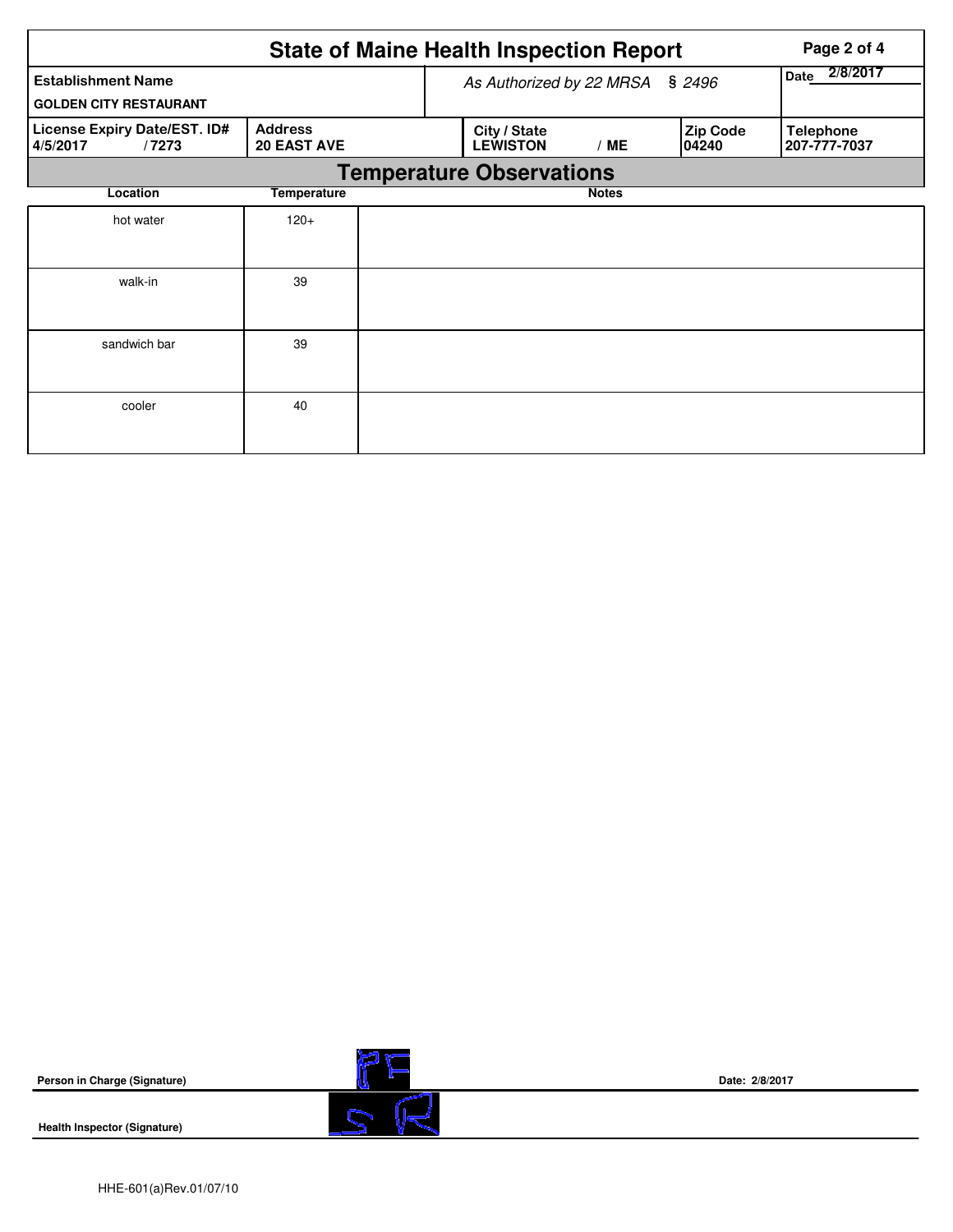|                                                            | Page 2 of 4                          |                                        |                                    |                                  |  |  |  |  |  |
|------------------------------------------------------------|--------------------------------------|----------------------------------------|------------------------------------|----------------------------------|--|--|--|--|--|
| <b>Establishment Name</b><br><b>GOLDEN CITY RESTAURANT</b> |                                      |                                        | As Authorized by 22 MRSA<br>\$2496 |                                  |  |  |  |  |  |
| License Expiry Date/EST. ID#<br>4/5/2017<br>/7273          | <b>Address</b><br><b>20 EAST AVE</b> | City / State<br><b>LEWISTON</b><br>/ME | <b>Zip Code</b><br>04240           | <b>Telephone</b><br>207-777-7037 |  |  |  |  |  |
|                                                            | <b>Temperature Observations</b>      |                                        |                                    |                                  |  |  |  |  |  |
| Location                                                   | <b>Temperature</b>                   | <b>Notes</b>                           |                                    |                                  |  |  |  |  |  |
| hot water                                                  | $120+$                               |                                        |                                    |                                  |  |  |  |  |  |
| walk-in                                                    | 39                                   |                                        |                                    |                                  |  |  |  |  |  |
| sandwich bar                                               | 39                                   |                                        |                                    |                                  |  |  |  |  |  |
| cooler                                                     | 40                                   |                                        |                                    |                                  |  |  |  |  |  |

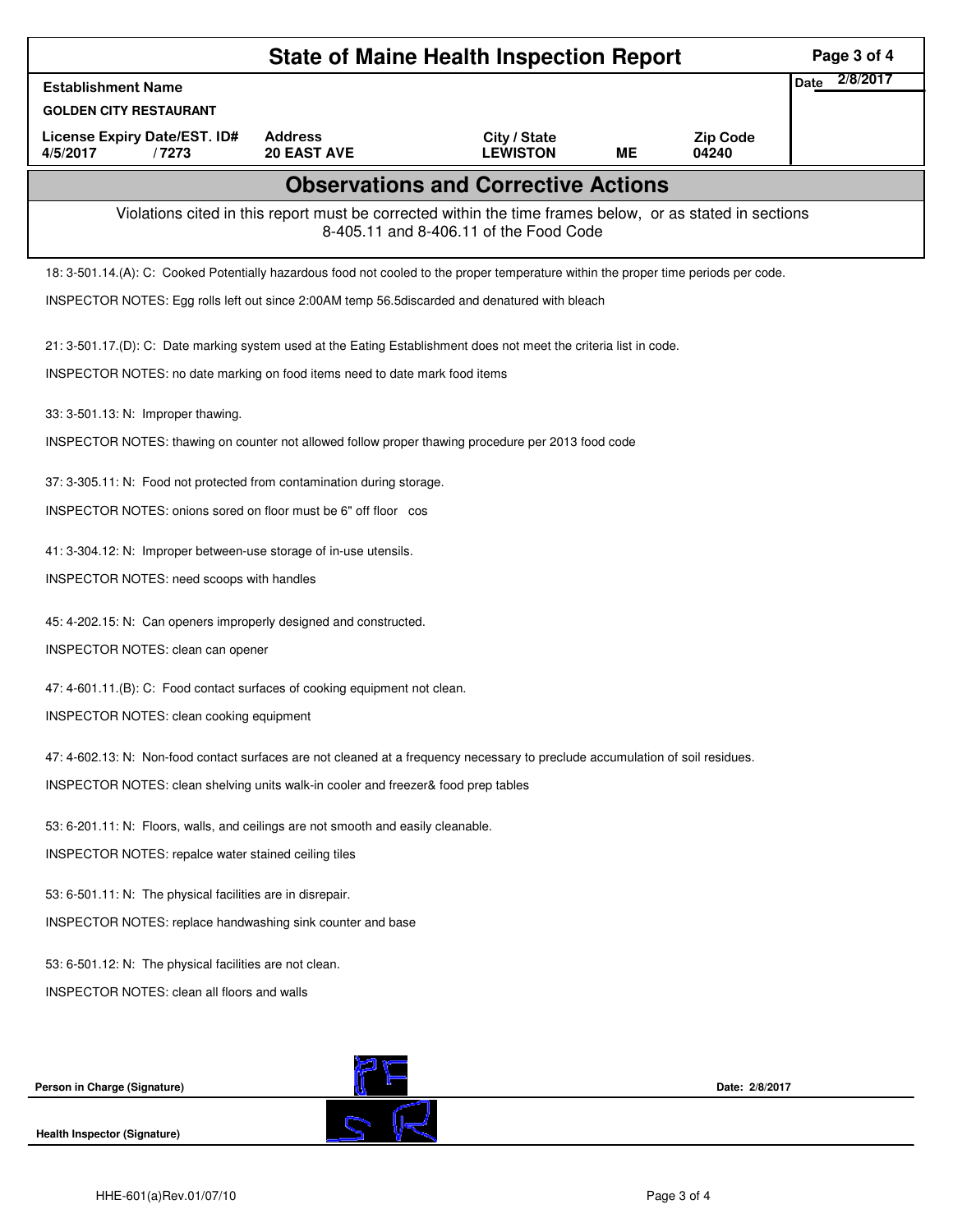|                                                                                                                                                    | Page 3 of 4                                                                                                        |                                 |           |                          |                         |  |  |  |  |  |
|----------------------------------------------------------------------------------------------------------------------------------------------------|--------------------------------------------------------------------------------------------------------------------|---------------------------------|-----------|--------------------------|-------------------------|--|--|--|--|--|
| <b>Establishment Name</b>                                                                                                                          |                                                                                                                    |                                 |           |                          | 2/8/2017<br><b>Date</b> |  |  |  |  |  |
| <b>GOLDEN CITY RESTAURANT</b>                                                                                                                      |                                                                                                                    |                                 |           |                          |                         |  |  |  |  |  |
| <b>License Expiry Date/EST. ID#</b><br>4/5/2017<br>/7273                                                                                           | <b>Address</b><br><b>20 EAST AVE</b>                                                                               | City / State<br><b>LEWISTON</b> | <b>ME</b> | <b>Zip Code</b><br>04240 |                         |  |  |  |  |  |
| <b>Observations and Corrective Actions</b>                                                                                                         |                                                                                                                    |                                 |           |                          |                         |  |  |  |  |  |
| Violations cited in this report must be corrected within the time frames below, or as stated in sections<br>8-405.11 and 8-406.11 of the Food Code |                                                                                                                    |                                 |           |                          |                         |  |  |  |  |  |
| 18: 3-501.14.(A): C: Cooked Potentially hazardous food not cooled to the proper temperature within the proper time periods per code.               |                                                                                                                    |                                 |           |                          |                         |  |  |  |  |  |
|                                                                                                                                                    | INSPECTOR NOTES: Egg rolls left out since 2:00AM temp 56.5discarded and denatured with bleach                      |                                 |           |                          |                         |  |  |  |  |  |
|                                                                                                                                                    | 21: 3-501.17.(D): C: Date marking system used at the Eating Establishment does not meet the criteria list in code. |                                 |           |                          |                         |  |  |  |  |  |
| INSPECTOR NOTES: no date marking on food items need to date mark food items                                                                        |                                                                                                                    |                                 |           |                          |                         |  |  |  |  |  |
| 33: 3-501.13: N: Improper thawing.                                                                                                                 |                                                                                                                    |                                 |           |                          |                         |  |  |  |  |  |
|                                                                                                                                                    | INSPECTOR NOTES: thawing on counter not allowed follow proper thawing procedure per 2013 food code                 |                                 |           |                          |                         |  |  |  |  |  |
|                                                                                                                                                    | 37: 3-305.11: N: Food not protected from contamination during storage.                                             |                                 |           |                          |                         |  |  |  |  |  |
|                                                                                                                                                    | INSPECTOR NOTES: onions sored on floor must be 6" off floor cos                                                    |                                 |           |                          |                         |  |  |  |  |  |
|                                                                                                                                                    | 41: 3-304.12: N: Improper between-use storage of in-use utensils.                                                  |                                 |           |                          |                         |  |  |  |  |  |
| INSPECTOR NOTES: need scoops with handles                                                                                                          |                                                                                                                    |                                 |           |                          |                         |  |  |  |  |  |
| 45: 4-202.15: N: Can openers improperly designed and constructed.                                                                                  |                                                                                                                    |                                 |           |                          |                         |  |  |  |  |  |
| INSPECTOR NOTES: clean can opener                                                                                                                  |                                                                                                                    |                                 |           |                          |                         |  |  |  |  |  |
| 47: 4-601.11.(B): C: Food contact surfaces of cooking equipment not clean.                                                                         |                                                                                                                    |                                 |           |                          |                         |  |  |  |  |  |
|                                                                                                                                                    | <b>INSPECTOR NOTES: clean cooking equipment</b>                                                                    |                                 |           |                          |                         |  |  |  |  |  |
| 47: 4-602.13: N: Non-food contact surfaces are not cleaned at a frequency necessary to preclude accumulation of soil residues.                     |                                                                                                                    |                                 |           |                          |                         |  |  |  |  |  |
| INSPECTOR NOTES: clean shelving units walk-in cooler and freezer& food prep tables                                                                 |                                                                                                                    |                                 |           |                          |                         |  |  |  |  |  |
| 53: 6-201.11: N: Floors, walls, and ceilings are not smooth and easily cleanable.                                                                  |                                                                                                                    |                                 |           |                          |                         |  |  |  |  |  |
| INSPECTOR NOTES: repalce water stained ceiling tiles                                                                                               |                                                                                                                    |                                 |           |                          |                         |  |  |  |  |  |
| 53: 6-501.11: N: The physical facilities are in disrepair.                                                                                         |                                                                                                                    |                                 |           |                          |                         |  |  |  |  |  |
| INSPECTOR NOTES: replace handwashing sink counter and base                                                                                         |                                                                                                                    |                                 |           |                          |                         |  |  |  |  |  |
| 53: 6-501.12: N: The physical facilities are not clean.                                                                                            |                                                                                                                    |                                 |           |                          |                         |  |  |  |  |  |
| <b>INSPECTOR NOTES: clean all floors and walls</b>                                                                                                 |                                                                                                                    |                                 |           |                          |                         |  |  |  |  |  |
|                                                                                                                                                    |                                                                                                                    |                                 |           |                          |                         |  |  |  |  |  |
|                                                                                                                                                    |                                                                                                                    |                                 |           |                          |                         |  |  |  |  |  |
| Person in Charge (Signature)                                                                                                                       |                                                                                                                    |                                 |           | Date: 2/8/2017           |                         |  |  |  |  |  |
| Health Inspector (Signature)                                                                                                                       |                                                                                                                    |                                 |           |                          |                         |  |  |  |  |  |